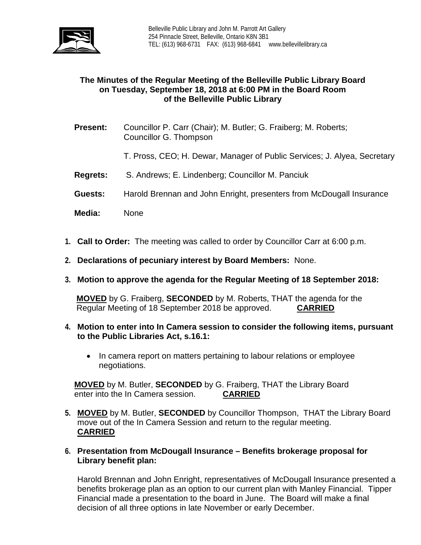

## **The Minutes of the Regular Meeting of the Belleville Public Library Board on Tuesday, September 18, 2018 at 6:00 PM in the Board Room of the Belleville Public Library**

- **Present:** Councillor P. Carr (Chair); M. Butler; G. Fraiberg; M. Roberts; Councillor G. Thompson
	- T. Pross, CEO; H. Dewar, Manager of Public Services; J. Alyea, Secretary
- **Regrets:** S. Andrews; E. Lindenberg; Councillor M. Panciuk
- **Guests:** Harold Brennan and John Enright, presenters from McDougall Insurance
- **Media:** None
- **1. Call to Order:** The meeting was called to order by Councillor Carr at 6:00 p.m.
- **2. Declarations of pecuniary interest by Board Members:** None.
- **3. Motion to approve the agenda for the Regular Meeting of 18 September 2018:**

**MOVED** by G. Fraiberg, **SECONDED** by M. Roberts, THAT the agenda for the Regular Meeting of 18 September 2018 be approved. **CARRIED**

- **4. Motion to enter into In Camera session to consider the following items, pursuant to the Public Libraries Act, s.16.1:**
	- In camera report on matters pertaining to labour relations or employee negotiations.

**MOVED** by M. Butler, **SECONDED** by G. Fraiberg, THAT the Library Board enter into the In Camera session. **CARRIED**

- **5. MOVED** by M. Butler, **SECONDED** by Councillor Thompson, THAT the Library Board move out of the In Camera Session and return to the regular meeting. **CARRIED**
- **6. Presentation from McDougall Insurance – Benefits brokerage proposal for Library benefit plan:**

Harold Brennan and John Enright, representatives of McDougall Insurance presented a benefits brokerage plan as an option to our current plan with Manley Financial. Tipper Financial made a presentation to the board in June. The Board will make a final decision of all three options in late November or early December.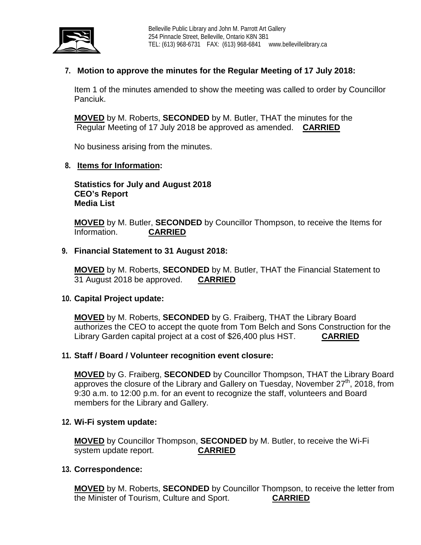

# **7. Motion to approve the minutes for the Regular Meeting of 17 July 2018:**

Item 1 of the minutes amended to show the meeting was called to order by Councillor Panciuk.

**MOVED** by M. Roberts, **SECONDED** by M. Butler, THAT the minutes for the Regular Meeting of 17 July 2018 be approved as amended. **CARRIED**

No business arising from the minutes.

#### **8. Items for Information:**

**Statistics for July and August 2018 CEO's Report Media List**

**MOVED** by M. Butler, **SECONDED** by Councillor Thompson, to receive the Items for Information. **CARRIED**

### **9. Financial Statement to 31 August 2018:**

**MOVED** by M. Roberts, **SECONDED** by M. Butler, THAT the Financial Statement to 31 August 2018 be approved. **CARRIED**

#### **10. Capital Project update:**

**MOVED** by M. Roberts, **SECONDED** by G. Fraiberg, THAT the Library Board authorizes the CEO to accept the quote from Tom Belch and Sons Construction for the Library Garden capital project at a cost of \$26,400 plus HST. **CARRIED**

### **11. Staff / Board / Volunteer recognition event closure:**

**MOVED** by G. Fraiberg, **SECONDED** by Councillor Thompson, THAT the Library Board approves the closure of the Library and Gallery on Tuesday, November 27<sup>th</sup>, 2018, from 9:30 a.m. to 12:00 p.m. for an event to recognize the staff, volunteers and Board members for the Library and Gallery.

#### **12. Wi-Fi system update:**

**MOVED** by Councillor Thompson, **SECONDED** by M. Butler, to receive the Wi-Fi system update report.

#### **13. Correspondence:**

**MOVED** by M. Roberts, **SECONDED** by Councillor Thompson, to receive the letter from the Minister of Tourism, Culture and Sport. **CARRIED**